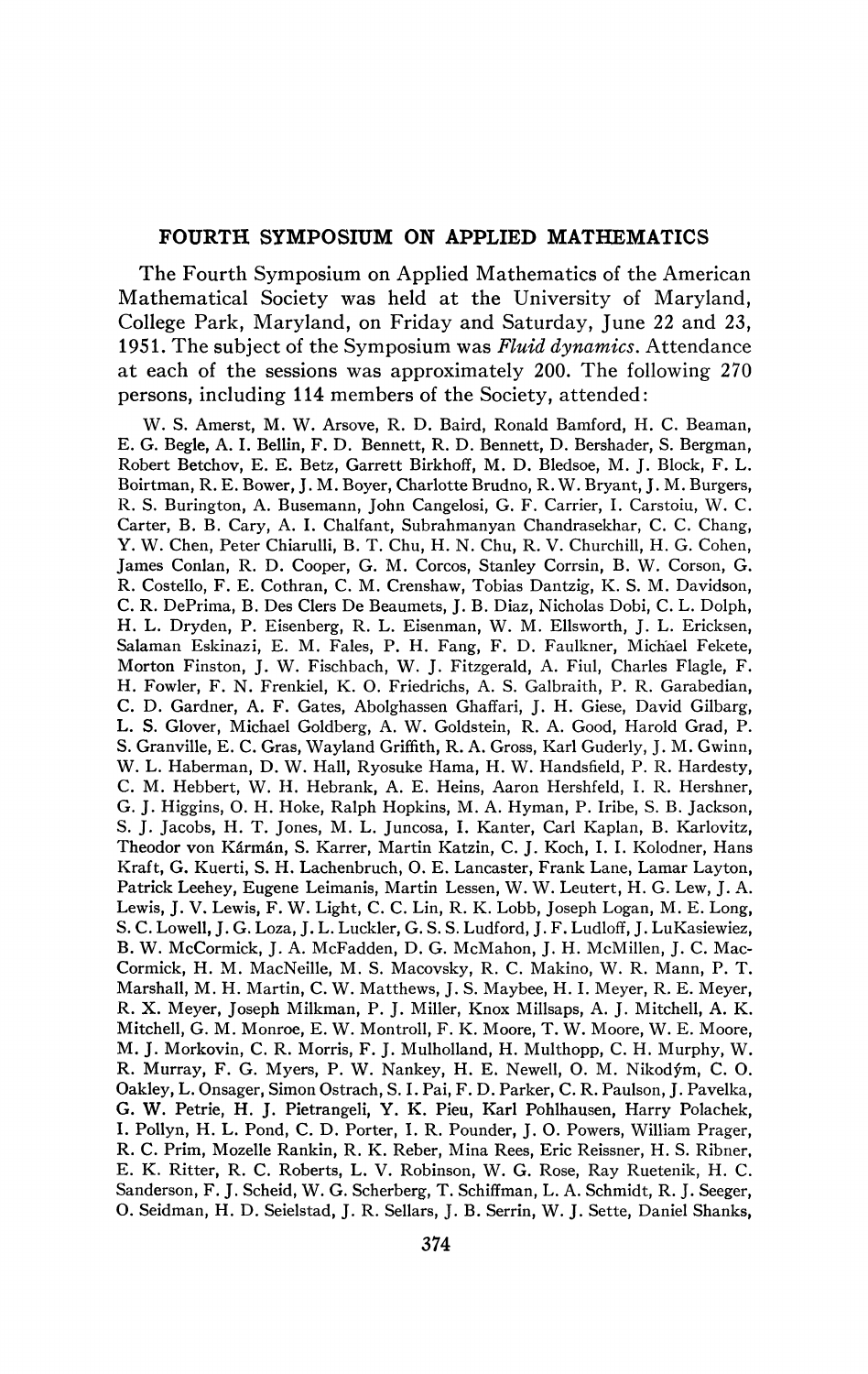## **FOURTH SYMPOSIUM ON APPLIED MATHEMATICS**

The Fourth Symposium on Applied Mathematics of the American Mathematical Society was held at the University of Maryland, College Park, Maryland, on Friday and Saturday, June 22 and 23, 1951. The subject of the Symposium was *Fluid dynamics.* Attendance at each of the sessions was approximately 200. The following 270 persons, including 114 members of the Society, attended:

W. S. Amerst, M. W. Arsove, R. D. Baird, Ronald Bamford, H. C. Beaman, E. G. Begle, A. I. Bellin, F. D. Bennett, R. D. Bennett, D. Bershader, S. Bergman, Robert Betchov, E. E. Betz, Garrett Birkhoff, M. D. Bledsoe, M. J. Block, F. L. Boirtman, R. E. Bower, J. M. Boyer, Charlotte Brudno, R. W. Bryant, J. M. Burgers, R. S. Burington, A. Busemann, John Cangelosi, G. F. Carrier, I. Carstoiu, W. C. Carter, B. B. Cary, A. I. Chalfant, Subrahmanyan Chandrasekhar, C. C. Chang, Y. W. Chen, Peter Chiarulli, B. T. Chu, H. N. Chu, R. V. Churchill, H. G. Cohen, James Conlan, R. D. Cooper, G. M. Corcos, Stanley Corrsin, B. W. Corson, G. R. Costello, F. E. Cothran, C. M. Crenshaw, Tobias Dantzig, K. S. M. Davidson, C. R. DePrima, B. Des Clers De Beaumets, J. B. Diaz, Nicholas Dobi, C. L. Dolph, H. L. Dryden, P. Eisenberg, R. L. Eisenman, W. M. Ellsworth, J. L. Ericksen, Salaman Eskinazi, E. M. Fales, P. H. Fang, F. D. Faulkner, Michael Fekete, Morton Finston, J. W. Fischbach, W. J. Fitzgerald, A. Fiul, Charles Flagle, F, H. Fowler, F. N. Frenkiel, K. O. Friedrichs, A. S. Galbraith, P. R. Garabedian, C. D. Gardner, A. F. Gates, Abolghassen Ghaffari, J. H. Giese, David Gilbarg, L. S. Glover, Michael Goldberg, A. W. Goldstein, R. A. Good, Harold Grad, P. S. Granville, E. C. Gras, Wayland Griffith, R. A. Gross, Karl Guderly, J. M. Gwinn, W. L. Haberman, D. W. Hall, Ryosuke Hama, H. W. Handsfield, P. R. Hardesty, C. M. Hebbert, W. H. Hebrank, A. E. Heins, Aaron Hershfeld, I. R. Hershner, G. J. Higgins, O. H. Hoke, Ralph Hopkins, M. A. Hyman, P. Iribe, S. B. Jackson, S. J. Jacobs, H. T. Jones, M. L. Juncosa, I. Kanter, Carl Kaplan, B. Karlovitz, Theodor von Kârmân, S. Karrer, Martin Katzin, C. J. Koch, I. I. Kolodner, Hans Kraft, G. Kuerti, S. H. Lachenbruch, O. E. Lancaster, Frank Lane, Lamar Layton, Patrick Leehey, Eugene Leimanis, Martin Lessen, W. W. Leutert, H. G. Lew, J. A. Lewis, J. V. Lewis, F. W. Light, C. C. Lin, R. K. Lobb, Joseph Logan, M. E. Long, S. C. Lowell, J. G. Loza, J. L. Luckier, G. S. S. Ludford, J. F. Ludloff, J. LuKasiewiez, B. W. McCormick, J. A. McFadden, D. G. McMahon, J. H. McMillen, J. C. Mac-Cormick, H. M. MacNeille, M. S. Macovsky, R. C. Makino, W. R. Mann, P. T. Marshall, M. H. Martin, C. W. Matthews, J. S. Maybee, H. L Meyer, R, E. Meyer, R. X. Meyer, Joseph Milkman, P. J. Miller, Knox Millsaps, A. J. Mitchell, A. K. Mitchell, G. M. Monroe, E. W. Montroll, F. K. Moore, T. W. Moore, W. E. Moore, M. J. Morkovin, C. R. Morris, F. J. Mulholland, H. Multhopp, C. H. Murphy, W. R. Murray, F. G. Myers, P. W. Nankey, H. E. Newell, O. M. Nikod^m, C. O. Oakley, L. Onsager, Simon Ostrach, S. I. Pai, F. D. Parker, C. R. Paulson, J. Pavelka, G. W. Pétrie, H. J. Pietrangeli, Y. K. Pieu, Karl Pohlhausen, Harry Polachek, I. Pollyn, H. L. Pond, C. D. Porter, I. R. Pounder, J. O. Powers, William Prager, R. C. Prim, Mozelle Rankin, R. K. Reber, Mina Rees, Eric Reissner, H. S. Ribner, E. K. Ritter, R. C. Roberts, L. V. Robinson, W. G. Rose, Ray Ruetenik, H. C. Sanderson, F. J. Scheid, W. G. Scherberg, T. Schiffman, L. A. Schmidt, R. J. Seeger, O. Seidman, H. D. Seielstad, J. R. Sellars, J. B. Serrin, W. J. Sette, Daniel Shanks,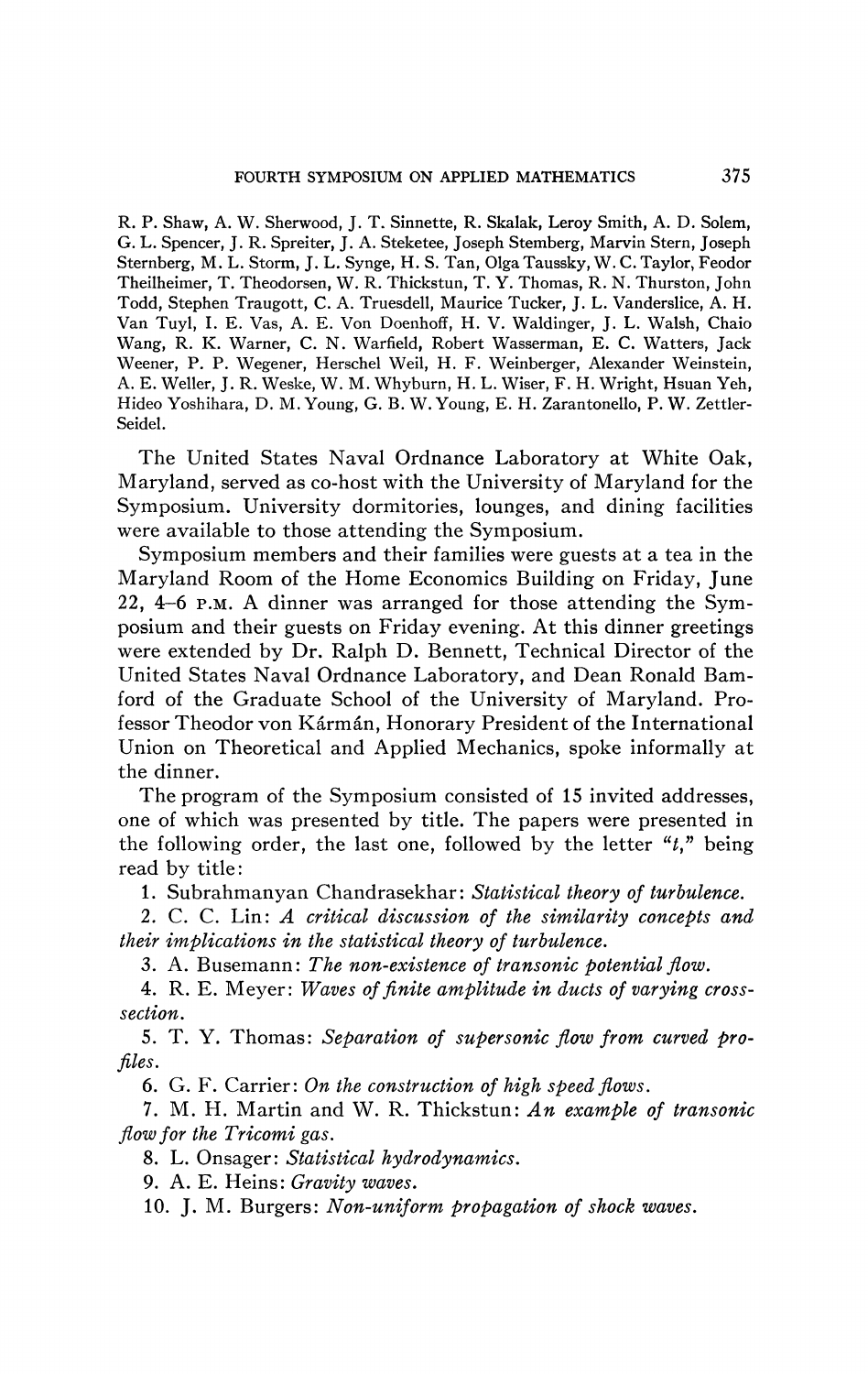R. P. Shaw, A. W. Sherwood, J. T. Sinnette, R. Skalak, Leroy Smith, A. D. Solem, G. L. Spencer, J. R. Spreiter, J. A. Steketee, Joseph Sternberg, Marvin Stern, Joseph Sternberg, M. L. Storm, J. L. Synge, H. S. Tan, OlgaTaussky, W. C. Taylor, Feodor Theilheimer, T. Theodorsen, W. R. Thickstun, T. Y. Thomas, R. N. Thurston, John Todd, Stephen Traugott, C. A. Truesdell, Maurice Tucker, J. L. Vanderslice, A. H. Van Tuyl, I. E. Vas, A. E. Von Doenhoff, H. V. Waldinger, J. L. Walsh, Chaio Wang, R. K. Warner, C. N. Warfield, Robert Wasserman, E. C. Watters, Jack Weener, P. P. Wegener, Herschel Weil, H. F. Weinberger, Alexander Weinstein, A. E. Weller, J. R. Weske, W. M. Whyburn, H. L. Wiser, F. H. Wright, Hsuan Yeh, Hideo Yoshihara, D. M.Young, G. B. W.Young, E. H. Zarantonello, P. W. Zettler-Seidel.

The United States Naval Ordnance Laboratory at White Oak, Maryland, served as co-host with the University of Maryland for the Symposium. University dormitories, lounges, and dining facilities were available to those attending the Symposium.

Symposium members and their families were guests at a tea in the Maryland Room of the Home Economics Building on Friday, June 22, 4-6 P.M. A dinner was arranged for those attending the Symposium and their guests on Friday evening. At this dinner greetings were extended by Dr. Ralph D. Bennett, Technical Director of the United States Naval Ordnance Laboratory, and Dean Ronald Bamford of the Graduate School of the University of Maryland. Professor Theodor von Karman, Honorary President of the International Union on Theoretical and Applied Mechanics, spoke informally at the dinner.

The program of the Symposium consisted of 15 invited addresses, one of which was presented by title. The papers were presented in the following order, the last one, followed by the letter " $t$ ," being read by title:

1. Subrahmanyan Chandrasekhar : *Statistical theory of turbulence.* 

2. C. C. Lin: *A critical discussion of the similarity concepts and their implications in the statistical theory of turbulence.* 

3. A. Busemann: *The non-existence of transonic potential flow.* 

4. R. E. Meyer: *Waves of finite amplitude in ducts of varying crosssection.* 

5. T. Y. Thomas: *Separation of supersonic flow from curved profiles.* 

*6.* G. F. Carrier: *On the construction of high speed flows.* 

7. M. H. Martin and W. R. Thickstun: *An example of transonic flow for the Tricomi gas.* 

8. L. Onsager: *Statistical hydrodynamics.* 

9. A. E. Heins: *Gravity waves.* 

10. J. M. Burgers: *Non-uniform propagation of shock waves.*